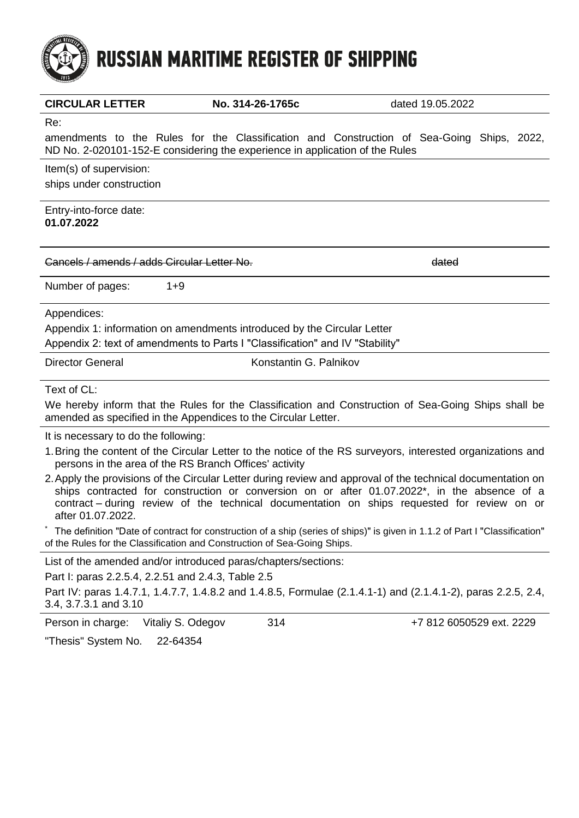# **RUSSIAN MARITIME REGISTER OF SHIPPING**

| 1913                                                |                                                                               |                                                                                                                                                                                                                                                                                                            |
|-----------------------------------------------------|-------------------------------------------------------------------------------|------------------------------------------------------------------------------------------------------------------------------------------------------------------------------------------------------------------------------------------------------------------------------------------------------------|
| <b>CIRCULAR LETTER</b>                              | No. 314-26-1765c                                                              | dated 19.05.2022                                                                                                                                                                                                                                                                                           |
| Re:                                                 | ND No. 2-020101-152-E considering the experience in application of the Rules  | amendments to the Rules for the Classification and Construction of Sea-Going Ships, 2022,                                                                                                                                                                                                                  |
| Item(s) of supervision:<br>ships under construction |                                                                               |                                                                                                                                                                                                                                                                                                            |
| Entry-into-force date:<br>01.07.2022                |                                                                               |                                                                                                                                                                                                                                                                                                            |
| Cancels / amends / adds Circular Letter No.         |                                                                               | dated                                                                                                                                                                                                                                                                                                      |
| Number of pages:<br>$1 + 9$                         |                                                                               |                                                                                                                                                                                                                                                                                                            |
| Appendices:                                         |                                                                               |                                                                                                                                                                                                                                                                                                            |
|                                                     | Appendix 1: information on amendments introduced by the Circular Letter       |                                                                                                                                                                                                                                                                                                            |
|                                                     | Appendix 2: text of amendments to Parts I "Classification" and IV "Stability" |                                                                                                                                                                                                                                                                                                            |
| <b>Director General</b>                             | Konstantin G. Palnikov                                                        |                                                                                                                                                                                                                                                                                                            |
| Text of CL:                                         |                                                                               |                                                                                                                                                                                                                                                                                                            |
|                                                     | amended as specified in the Appendices to the Circular Letter.                | We hereby inform that the Rules for the Classification and Construction of Sea-Going Ships shall be                                                                                                                                                                                                        |
| It is necessary to do the following:                |                                                                               |                                                                                                                                                                                                                                                                                                            |
|                                                     | persons in the area of the RS Branch Offices' activity                        | 1. Bring the content of the Circular Letter to the notice of the RS surveyors, interested organizations and                                                                                                                                                                                                |
| after 01.07.2022.                                   |                                                                               | 2. Apply the provisions of the Circular Letter during review and approval of the technical documentation on<br>ships contracted for construction or conversion on or after 01.07.2022*, in the absence of a<br>contract – during review of the technical documentation on ships requested for review on or |
|                                                     | of the Rules for the Classification and Construction of Sea-Going Ships.      | The definition "Date of contract for construction of a ship (series of ships)" is given in 1.1.2 of Part I "Classification"                                                                                                                                                                                |

List of the amended and/or introduced paras/chapters/sections:

Part I: paras 2.2.5.4, 2.2.51 and 2.4.3, Table 2.5

Part IV: paras 1.4.7.1, 1.4.7.7, 1.4.8.2 and 1.4.8.5, Formulae (2.1.4.1-1) and (2.1.4.1-2), paras 2.2.5, 2.4, 3.4, 3.7.3.1 and 3.10

Person in charge: Vitaliy S. Odegov 314 +7 812 6050529 ext. 2229

"Thesis" System No. 22-64354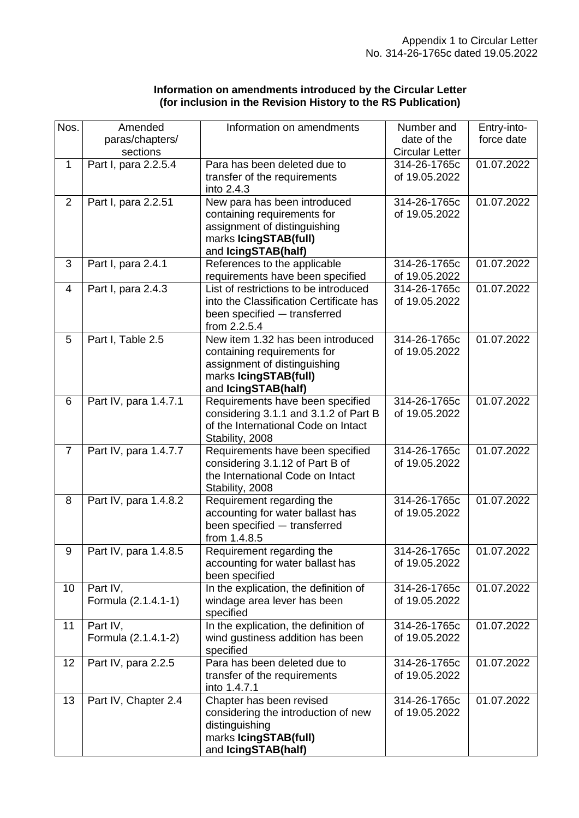| Information on amendments introduced by the Circular Letter   |  |
|---------------------------------------------------------------|--|
| (for inclusion in the Revision History to the RS Publication) |  |

| Nos.           | Amended<br>paras/chapters/<br>sections | Information on amendments                                                                                                                        | Number and<br>date of the<br><b>Circular Letter</b> | Entry-into-<br>force date |
|----------------|----------------------------------------|--------------------------------------------------------------------------------------------------------------------------------------------------|-----------------------------------------------------|---------------------------|
| $\mathbf 1$    | Part I, para 2.2.5.4                   | Para has been deleted due to<br>transfer of the requirements<br>into 2.4.3                                                                       | 314-26-1765c<br>of 19.05.2022                       | 01.07.2022                |
| $\overline{2}$ | Part I, para 2.2.51                    | New para has been introduced<br>containing requirements for<br>assignment of distinguishing<br>marks lcingSTAB(full)<br>and IcingSTAB(half)      | 314-26-1765c<br>of 19.05.2022                       | 01.07.2022                |
| 3              | Part I, para 2.4.1                     | References to the applicable<br>requirements have been specified                                                                                 | 314-26-1765c<br>of 19.05.2022                       | 01.07.2022                |
| 4              | Part I, para 2.4.3                     | List of restrictions to be introduced<br>into the Classification Certificate has<br>been specified - transferred<br>from 2.2.5.4                 | 314-26-1765c<br>of 19.05.2022                       | 01.07.2022                |
| 5              | Part I, Table 2.5                      | New item 1.32 has been introduced<br>containing requirements for<br>assignment of distinguishing<br>marks IcingSTAB(full)<br>and IcingSTAB(half) | 314-26-1765c<br>of 19.05.2022                       | 01.07.2022                |
| 6              | Part IV, para 1.4.7.1                  | Requirements have been specified<br>considering 3.1.1 and 3.1.2 of Part B<br>of the International Code on Intact<br>Stability, 2008              | 314-26-1765c<br>of 19.05.2022                       | 01.07.2022                |
| $\overline{7}$ | Part IV, para 1.4.7.7                  | Requirements have been specified<br>considering 3.1.12 of Part B of<br>the International Code on Intact<br>Stability, 2008                       | 314-26-1765c<br>of 19.05.2022                       | 01.07.2022                |
| 8              | Part IV, para 1.4.8.2                  | Requirement regarding the<br>accounting for water ballast has<br>been specified - transferred<br>from 1.4.8.5                                    | 314-26-1765c<br>of 19.05.2022                       | 01.07.2022                |
| 9              | Part IV, para 1.4.8.5                  | Requirement regarding the<br>accounting for water ballast has<br>been specified                                                                  | 314-26-1765c<br>of 19.05.2022                       | 01.07.2022                |
| 10             | Part IV,<br>Formula (2.1.4.1-1)        | In the explication, the definition of<br>windage area lever has been<br>specified                                                                | 314-26-1765c<br>of 19.05.2022                       | 01.07.2022                |
| 11             | Part IV,<br>Formula (2.1.4.1-2)        | In the explication, the definition of<br>wind gustiness addition has been<br>specified                                                           | 314-26-1765c<br>of 19.05.2022                       | 01.07.2022                |
| 12             | Part IV, para 2.2.5                    | Para has been deleted due to<br>transfer of the requirements<br>into 1.4.7.1                                                                     | 314-26-1765c<br>of 19.05.2022                       | 01.07.2022                |
| 13             | Part IV, Chapter 2.4                   | Chapter has been revised<br>considering the introduction of new<br>distinguishing<br>marks IcingSTAB(full)<br>and IcingSTAB(half)                | 314-26-1765c<br>of 19.05.2022                       | 01.07.2022                |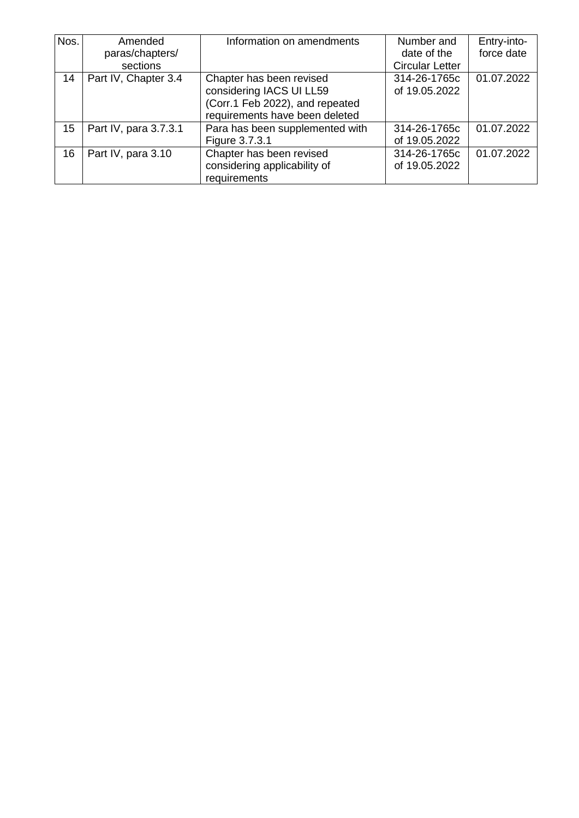| Nos. | Amended               | Information on amendments       | Number and             | Entry-into- |
|------|-----------------------|---------------------------------|------------------------|-------------|
|      | paras/chapters/       |                                 | date of the            | force date  |
|      | sections              |                                 | <b>Circular Letter</b> |             |
| 14   | Part IV, Chapter 3.4  | Chapter has been revised        | 314-26-1765c           | 01.07.2022  |
|      |                       | considering IACS UI LL59        | of 19.05.2022          |             |
|      |                       | (Corr.1 Feb 2022), and repeated |                        |             |
|      |                       | requirements have been deleted  |                        |             |
| 15   | Part IV, para 3.7.3.1 | Para has been supplemented with | 314-26-1765c           | 01.07.2022  |
|      |                       | Figure 3.7.3.1                  | of 19.05.2022          |             |
| 16   | Part IV, para 3.10    | Chapter has been revised        | 314-26-1765c           | 01.07.2022  |
|      |                       | considering applicability of    | of 19.05.2022          |             |
|      |                       | requirements                    |                        |             |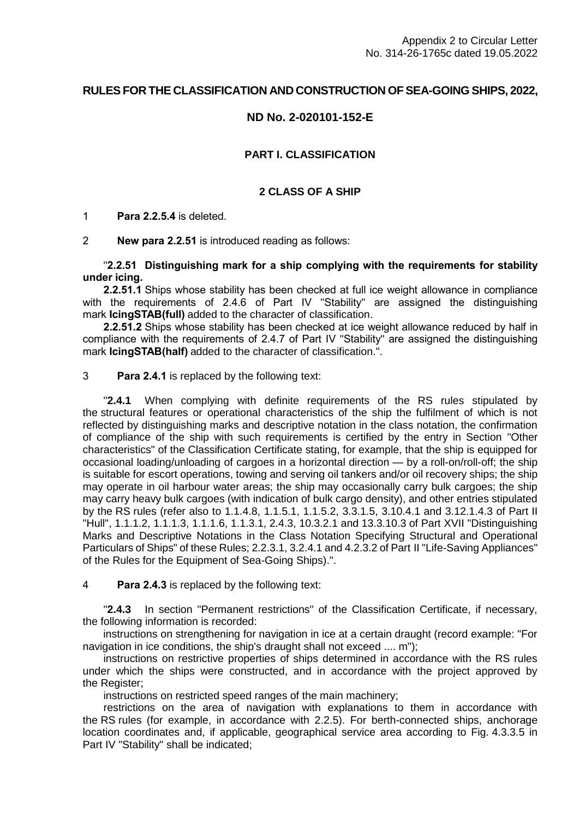# **RULES FOR THE CLASSIFICATION AND CONSTRUCTION OF SEA-GOING SHIPS, 2022,**

## **ND No. 2-020101-152-E**

## **PART I. CLASSIFICATION**

#### **2 CLASS OF A SHIP**

1 **Para 2.2.5.4** is deleted.

2 **New para 2.2.51** is introduced reading as follows:

## "**2.2.51 Distinguishing mark for a ship complying with the requirements for stability under icing.**

**2.2.51.1** Ships whose stability has been checked at full ice weight allowance in compliance with the requirements of 2.4.6 of Part IV "Stability" are assigned the distinguishing mark **IcingSTAB(full)** added to the character of classification.

**2.2.51.2** Ships whose stability has been checked at ice weight allowance reduced by half in compliance with the requirements of 2.4.7 of Part IV "Stability" are assigned the distinguishing mark **IcingSTAB(half)** added to the character of classification.".

#### 3 **Para 2.4.1** is replaced by the following text:

"**2.4.1** When complying with definite requirements of the RS rules stipulated by the structural features or operational characteristics of the ship the fulfilment of which is not reflected by distinguishing marks and descriptive notation in the class notation, the confirmation of compliance of the ship with such requirements is certified by the entry in Section "Other characteristics" of the Classification Certificate stating, for example, that the ship is equipped for occasional loading/unloading of cargoes in a horizontal direction — by a roll-on/roll-off; the ship is suitable for escort operations, towing and serving oil tankers and/or oil recovery ships; the ship may operate in oil harbour water areas; the ship may occasionally carry bulk cargoes; the ship may carry heavy bulk cargoes (with indication of bulk cargo density), and other entries stipulated by the RS rules (refer also to 1.1.4.8, 1.1.5.1, 1.1.5.2, 3.3.1.5, 3.10.4.1 and 3.12.1.4.3 of Part II "Hull", 1.1.1.2, 1.1.1.3, 1.1.1.6, 1.1.3.1, 2.4.3, 10.3.2.1 and 13.3.10.3 of Part XVII "Distinguishing Marks and Descriptive Notations in the Class Notation Specifying Structural and Operational Particulars of Ships" of these Rules; 2.2.3.1, 3.2.4.1 and 4.2.3.2 of Part II "Life-Saving Appliances" of the Rules for the Equipment of Sea-Going Ships).".

#### 4 **Para 2.4.3** is replaced by the following text:

"**2.4.3** In section "Permanent restrictions" of the Classification Certificate, if necessary, the following information is recorded:

instructions on strengthening for navigation in ice at a certain draught (record example: "For navigation in ice conditions, the ship's draught shall not exceed ..., m"):

instructions on restrictive properties of ships determined in accordance with the RS rules under which the ships were constructed, and in accordance with the project approved by the Register;

instructions on restricted speed ranges of the main machinery;

restrictions on the area of navigation with explanations to them in accordance with the RS rules (for example, in accordance with 2.2.5). For berth-connected ships, anchorage location coordinates and, if applicable, geographical service area according to Fig. 4.3.3.5 in Part IV "Stability" shall be indicated;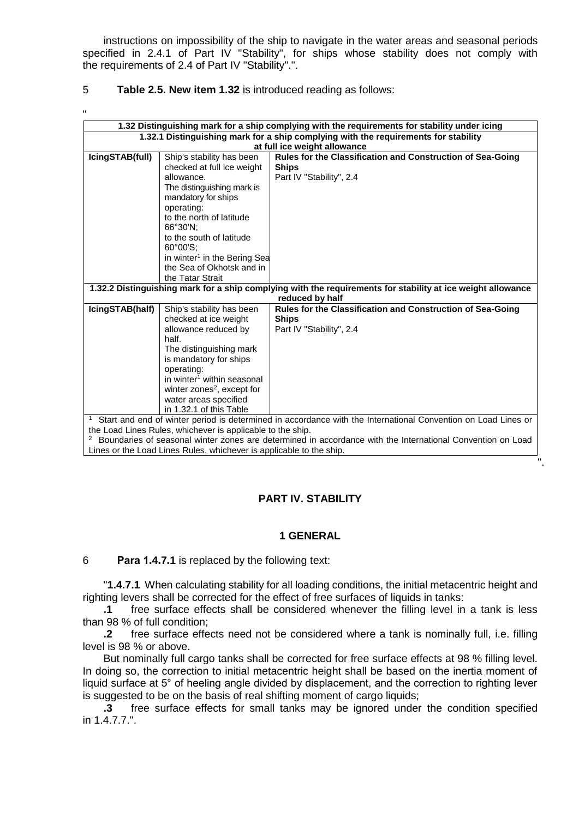instructions on impossibility of the ship to navigate in the water areas and seasonal periods specified in 2.4.1 of Part IV "Stability", for ships whose stability does not comply with the requirements of 2.4 of Part IV "Stability".".

## 5 **Table 2.5. New item 1.32** is introduced reading as follows:

| $\mathbf{H}$    |                                                           |                                                                                                               |
|-----------------|-----------------------------------------------------------|---------------------------------------------------------------------------------------------------------------|
|                 |                                                           | 1.32 Distinguishing mark for a ship complying with the requirements for stability under icing                 |
|                 |                                                           | 1.32.1 Distinguishing mark for a ship complying with the requirements for stability                           |
|                 |                                                           | at full ice weight allowance                                                                                  |
| IcingSTAB(full) | Ship's stability has been                                 | Rules for the Classification and Construction of Sea-Going                                                    |
|                 | checked at full ice weight                                | <b>Ships</b>                                                                                                  |
|                 | allowance.                                                | Part IV "Stability", 2.4                                                                                      |
|                 | The distinguishing mark is                                |                                                                                                               |
|                 | mandatory for ships                                       |                                                                                                               |
|                 | operating:                                                |                                                                                                               |
|                 | to the north of latitude                                  |                                                                                                               |
|                 | 66°30'N:                                                  |                                                                                                               |
|                 | to the south of latitude<br>$60^{\circ}00'S$ :            |                                                                                                               |
|                 | in winter <sup>1</sup> in the Bering Sea                  |                                                                                                               |
|                 | the Sea of Okhotsk and in                                 |                                                                                                               |
|                 | the Tatar Strait                                          |                                                                                                               |
|                 |                                                           | 1.32.2 Distinguishing mark for a ship complying with the requirements for stability at ice weight allowance   |
|                 |                                                           | reduced by half                                                                                               |
| IcingSTAB(half) | Ship's stability has been                                 | Rules for the Classification and Construction of Sea-Going                                                    |
|                 | checked at ice weight                                     | <b>Ships</b>                                                                                                  |
|                 | allowance reduced by                                      | Part IV "Stability", 2.4                                                                                      |
|                 | half.                                                     |                                                                                                               |
|                 | The distinguishing mark                                   |                                                                                                               |
|                 | is mandatory for ships                                    |                                                                                                               |
|                 | operating:                                                |                                                                                                               |
|                 | in winter <sup>1</sup> within seasonal                    |                                                                                                               |
|                 | winter zones <sup>2</sup> , except for                    |                                                                                                               |
|                 | water areas specified                                     |                                                                                                               |
|                 | in 1.32.1 of this Table                                   |                                                                                                               |
|                 |                                                           | Start and end of winter period is determined in accordance with the International Convention on Load Lines or |
|                 | the Lead Linea Dules, whichever is contineble to the ship |                                                                                                               |

the Load Lines Rules, whichever is applicable to the ship.

<sup>2</sup> Boundaries of seasonal winter zones are determined in accordance with the International Convention on Load Lines or the Load Lines Rules, whichever is applicable to the ship.

".

## **PART IV. STABILITY**

## **1 GENERAL**

#### 6 **Para 1.4.7.1** is replaced by the following text:

"**1.4.7.1** When calculating stability for all loading conditions, the initial metacentric height and righting levers shall be corrected for the effect of free surfaces of liquids in tanks:

**.1** free surface effects shall be considered whenever the filling level in a tank is less than 98 % of full condition;

**.2** free surface effects need not be considered where a tank is nominally full, i.e. filling level is 98 % or above.

But nominally full cargo tanks shall be corrected for free surface effects at 98 % filling level. In doing so, the correction to initial metacentric height shall be based on the inertia moment of liquid surface at 5° of heeling angle divided by displacement, and the correction to righting lever is suggested to be on the basis of real shifting moment of cargo liquids;

**.3** free surface effects for small tanks may be ignored under the condition specified in 1.4.7.7.".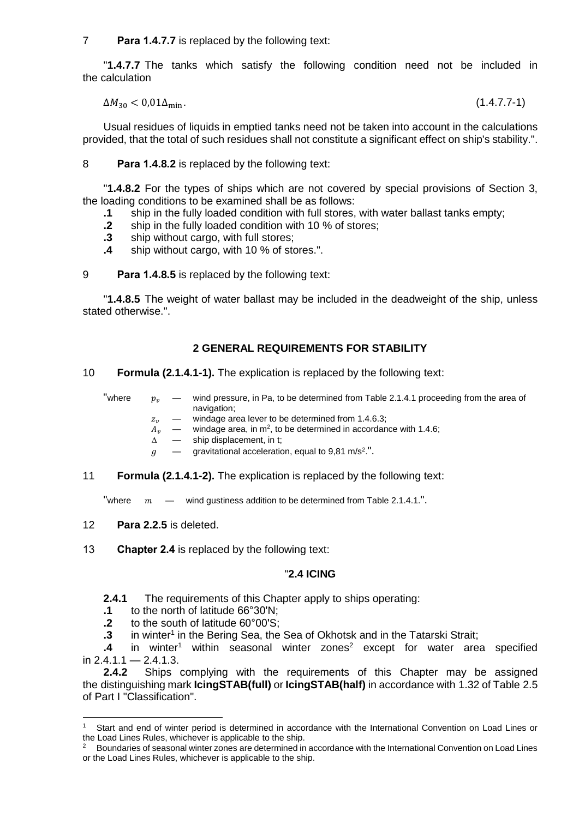7 **Para 1.4.7.7** is replaced by the following text:

"**1.4.7.7** The tanks which satisfy the following condition need not be included in the calculation

$$
\Delta M_{30} < 0.01 \Delta_{\text{min}}.\tag{1.4.7.7-1}
$$

Usual residues of liquids in emptied tanks need not be taken into account in the calculations provided, that the total of such residues shall not constitute a significant effect on ship's stability.".

8 **Para 1.4.8.2** is replaced by the following text:

"**1.4.8.2** For the types of ships which are not covered by special provisions of Section 3, the loading conditions to be examined shall be as follows:

- **.1** ship in the fully loaded condition with full stores, with water ballast tanks empty;
- **.2** ship in the fully loaded condition with 10 % of stores;
- **.3** ship without cargo, with full stores;
- **.4** ship without cargo, with 10 % of stores.".

9 **Para 1.4.8.5** is replaced by the following text:

"**1.4.8.5** The weight of water ballast may be included in the deadweight of the ship, unless stated otherwise.".

## **2 GENERAL REQUIREMENTS FOR STABILITY**

#### 10 **Formula (2.1.4.1-1).** The explication is replaced by the following text:

"where  $p_v =$  wind pressure, in Pa, to be determined from Table 2.1.4.1 proceeding from the area of navigation;

- $z_v$  windage area lever to be determined from 1.4.6.3;<br>  $A_v$  windage area, in m<sup>2</sup>, to be determined in accordan
- $A_{\nu} \quad$  windage area, in m<sup>2</sup>, to be determined in accordance with 1.4.6;
- $\Delta$  ship displacement, in t;
- $g \rightarrow$  gravitational acceleration, equal to 9,81 m/s<sup>2</sup>.".
- 11 **Formula (2.1.4.1-2).** The explication is replaced by the following text:

"where  $m \quad - \quad$  wind gustiness addition to be determined from Table 2.1.4.1.".

12 **Para 2.2.5** is deleted.

13 **Chapter 2.4** is replaced by the following text:

#### "**2.4 ICING**

**2.4.1** The requirements of this Chapter apply to ships operating:

- **.1** to the north of latitude 66°30'N;
- **.2** to the south of latitude 60°00'S;
- .3 in winter<sup>1</sup> in the Bering Sea, the Sea of Okhotsk and in the Tatarski Strait;

.4 in winter<sup>1</sup> within seasonal winter zones<sup>2</sup> except for water area specified in  $2.4.1.1 - 2.4.1.3$ .

**2.4.2** Ships complying with the requirements of this Chapter may be assigned the distinguishing mark **IcingSTAB(full)** or **IcingSTAB(half)** in accordance with 1.32 of Table 2.5 of Part I "Classification".

 $\mathbf{1}$ Start and end of winter period is determined in accordance with the International Convention on Load Lines or the Load Lines Rules, whichever is applicable to the ship.

<sup>&</sup>lt;sup>2</sup> Boundaries of seasonal winter zones are determined in accordance with the International Convention on Load Lines or the Load Lines Rules, whichever is applicable to the ship.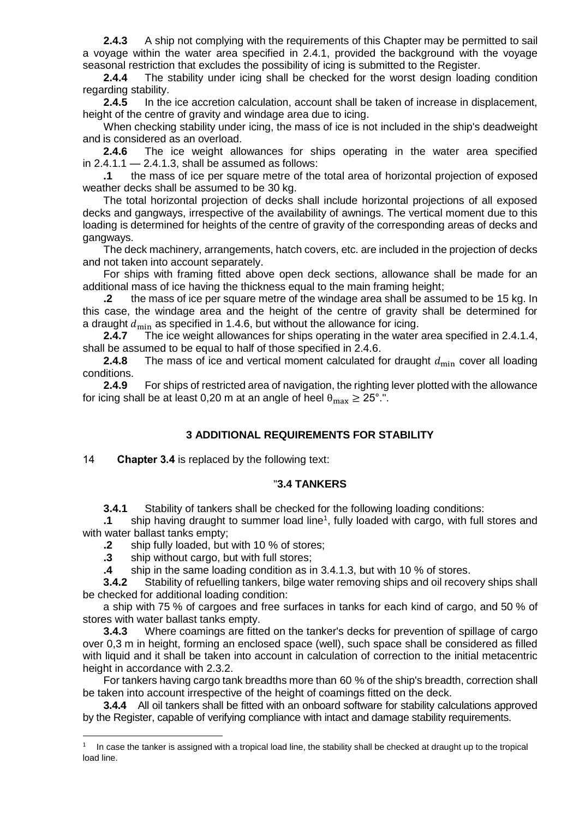**2.4.3** A ship not complying with the requirements of this Chapter may be permitted to sail a voyage within the water area specified in 2.4.1, provided the background with the voyage seasonal restriction that excludes the possibility of icing is submitted to the Register.

**2.4.4** The stability under icing shall be checked for the worst design loading condition regarding stability.

**2.4.5** In the ice accretion calculation, account shall be taken of increase in displacement, height of the centre of gravity and windage area due to icing.

When checking stability under icing, the mass of ice is not included in the ship's deadweight and is considered as an overload.

**2.4.6** The ice weight allowances for ships operating in the water area specified in  $2.4.1.1 - 2.4.1.3$ , shall be assumed as follows:

**.1** the mass of ice per square metre of the total area of horizontal projection of exposed weather decks shall be assumed to be 30 kg.

The total horizontal projection of decks shall include horizontal projections of all exposed decks and gangways, irrespective of the availability of awnings. The vertical moment due to this loading is determined for heights of the centre of gravity of the corresponding areas of decks and gangways.

The deck machinery, arrangements, hatch covers, etc. are included in the projection of decks and not taken into account separately.

For ships with framing fitted above open deck sections, allowance shall be made for an additional mass of ice having the thickness equal to the main framing height;

**.2** the mass of ice per square metre of the windage area shall be assumed to be 15 kg. In this case, the windage area and the height of the centre of gravity shall be determined for a draught  $d_{\text{min}}$  as specified in 1.4.6, but without the allowance for icing.<br>2.4.7 The ice weight allowances for ships operating in the water

**2.4.7** The ice weight allowances for ships operating in the water area specified in 2.4.1.4, shall be assumed to be equal to half of those specified in 2.4.6.

**2.4.8** The mass of ice and vertical moment calculated for draught  $d_{\min}$  cover all loading conditions.

**2.4.9** For ships of restricted area of navigation, the righting lever plotted with the allowance for icing shall be at least 0,20 m at an angle of heel  $\theta_{\text{max}} \ge 25^{\circ}$ .".

## **3 ADDITIONAL REQUIREMENTS FOR STABILITY**

14 **Chapter 3.4** is replaced by the following text:

## "**3.4 TANKERS**

**3.4.1** Stability of tankers shall be checked for the following loading conditions:

.1 ship having draught to summer load line<sup>1</sup>, fully loaded with cargo, with full stores and with water ballast tanks empty;

**.2** ship fully loaded, but with 10 % of stores;

**.3** ship without cargo, but with full stores;

1

**.4** ship in the same loading condition as in 3.4.1.3, but with 10 % of stores.

**3.4.2** Stability of refuelling tankers, bilge water removing ships and oil recovery ships shall be checked for additional loading condition:

a ship with 75 % of cargoes and free surfaces in tanks for each kind of cargo, and 50 % of stores with water ballast tanks empty.

**3.4.3** Where coamings are fitted on the tanker's decks for prevention of spillage of cargo over 0,3 m in height, forming an enclosed space (well), such space shall be considered as filled with liquid and it shall be taken into account in calculation of correction to the initial metacentric height in accordance with 2.3.2.

For tankers having cargo tank breadths more than 60 % of the ship's breadth, correction shall be taken into account irrespective of the height of coamings fitted on the deck.

**3.4.4** All oil tankers shall be fitted with an onboard software for stability calculations approved by the Register, capable of verifying compliance with intact and damage stability requirements.

 $1$  In case the tanker is assigned with a tropical load line, the stability shall be checked at draught up to the tropical load line.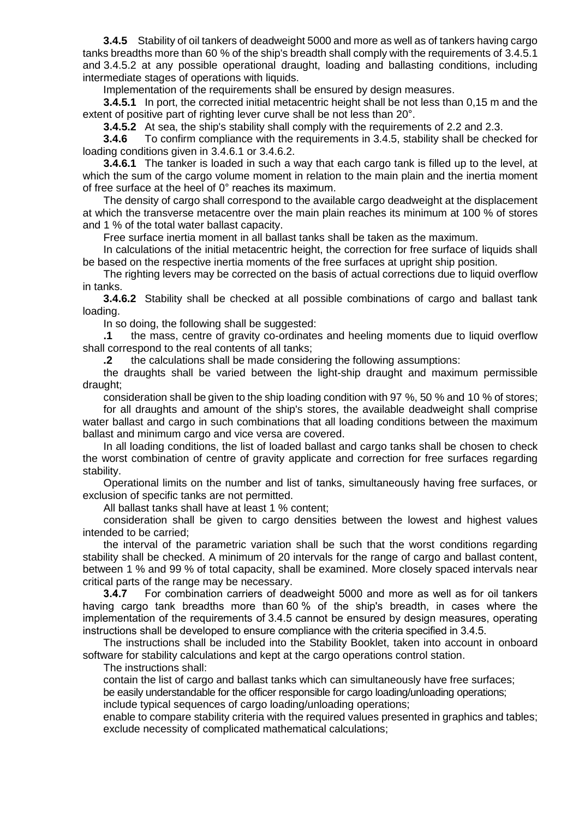**3.4.5** Stability of oil tankers of deadweight 5000 and more as well as of tankers having cargo tanks breadths more than 60 % of the ship's breadth shall comply with the requirements of 3.4.5.1 and 3.4.5.2 at any possible operational draught, loading and ballasting conditions, including intermediate stages of operations with liquids.

Implementation of the requirements shall be ensured by design measures.

**3.4.5.1** In port, the corrected initial metacentric height shall be not less than 0,15 m and the extent of positive part of righting lever curve shall be not less than 20°.

**3.4.5.2** At sea, the ship's stability shall comply with the requirements of 2.2 and 2.3.

**3.4.6** To confirm compliance with the requirements in 3.4.5, stability shall be checked for loading conditions given in 3.4.6.1 or 3.4.6.2.

**3.4.6.1** The tanker is loaded in such a way that each cargo tank is filled up to the level, at which the sum of the cargo volume moment in relation to the main plain and the inertia moment of free surface at the heel of 0° reaches its maximum.

The density of cargo shall correspond to the available cargo deadweight at the displacement at which the transverse metacentre over the main plain reaches its minimum at 100 % of stores and 1 % of the total water ballast capacity.

Free surface inertia moment in all ballast tanks shall be taken as the maximum.

In calculations of the initial metacentric height, the correction for free surface of liquids shall be based on the respective inertia moments of the free surfaces at upright ship position.

The righting levers may be corrected on the basis of actual corrections due to liquid overflow in tanks.

**3.4.6.2** Stability shall be checked at all possible combinations of cargo and ballast tank loading.

In so doing, the following shall be suggested:

**.1** the mass, centre of gravity co-ordinates and heeling moments due to liquid overflow shall correspond to the real contents of all tanks;

**.2** the calculations shall be made considering the following assumptions:

the draughts shall be varied between the light-ship draught and maximum permissible draught;

consideration shall be given to the ship loading condition with 97 %, 50 % and 10 % of stores;

for all draughts and amount of the ship's stores, the available deadweight shall comprise water ballast and cargo in such combinations that all loading conditions between the maximum ballast and minimum cargo and vice versa are covered.

In all loading conditions, the list of loaded ballast and cargo tanks shall be chosen to check the worst combination of centre of gravity applicate and correction for free surfaces regarding stability.

Operational limits on the number and list of tanks, simultaneously having free surfaces, or exclusion of specific tanks are not permitted.

All ballast tanks shall have at least 1 % content;

consideration shall be given to cargo densities between the lowest and highest values intended to be carried;

the interval of the parametric variation shall be such that the worst conditions regarding stability shall be checked. A minimum of 20 intervals for the range of cargo and ballast content, between 1 % and 99 % of total capacity, shall be examined. More closely spaced intervals near critical parts of the range may be necessary.

**3.4.7** For combination carriers of deadweight 5000 and more as well as for oil tankers having cargo tank breadths more than 60 % of the ship's breadth, in cases where the implementation of the requirements of 3.4.5 cannot be ensured by design measures, operating instructions shall be developed to ensure compliance with the criteria specified in 3.4.5.

The instructions shall be included into the Stability Booklet, taken into account in onboard software for stability calculations and kept at the cargo operations control station.

The instructions shall:

contain the list of cargo and ballast tanks which can simultaneously have free surfaces;

be easily understandable for the officer responsible for cargo loading/unloading operations;

include typical sequences of cargo loading/unloading operations;

enable to compare stability criteria with the required values presented in graphics and tables; exclude necessity of complicated mathematical calculations;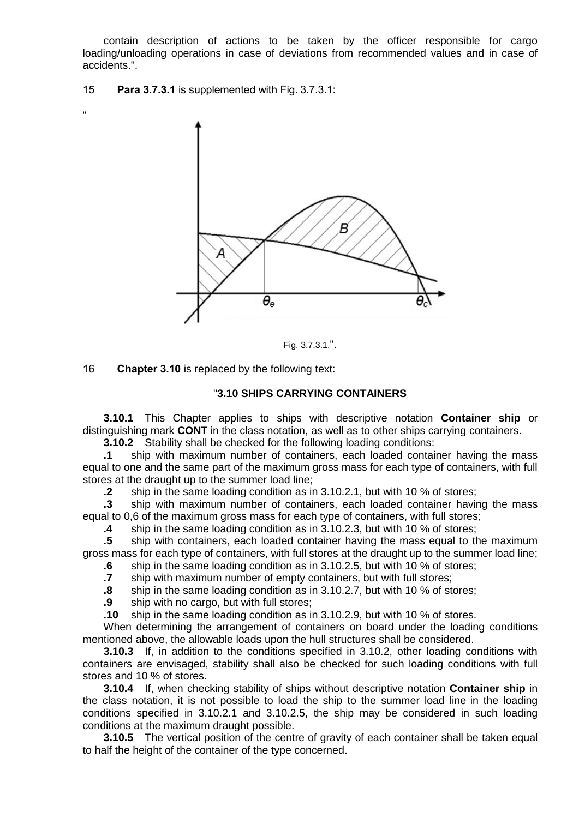contain description of actions to be taken by the officer responsible for cargo loading/unloading operations in case of deviations from recommended values and in case of accidents.".

15 **Para 3.7.3.1** is supplemented with Fig. 3.7.3.1:

"



Fig. 3.7.3.1.".

16 **Chapter 3.10** is replaced by the following text:

## "**3.10 SHIPS CARRYING CONTAINERS**

**3.10.1** This Chapter applies to ships with descriptive notation **Container ship** or distinguishing mark **CONT** in the class notation, as well as to other ships carrying containers.

**3.10.2** Stability shall be checked for the following loading conditions:

**.1** ship with maximum number of containers, each loaded container having the mass equal to one and the same part of the maximum gross mass for each type of containers, with full stores at the draught up to the summer load line;

**.2** ship in the same loading condition as in 3.10.2.1, but with 10 % of stores;

**.3** ship with maximum number of containers, each loaded container having the mass equal to 0,6 of the maximum gross mass for each type of containers, with full stores;

**.4** ship in the same loading condition as in 3.10.2.3, but with 10 % of stores;

**.5** ship with containers, each loaded container having the mass equal to the maximum gross mass for each type of containers, with full stores at the draught up to the summer load line;

**.6** ship in the same loading condition as in 3.10.2.5, but with 10 % of stores;

**.7** ship with maximum number of empty containers, but with full stores;

**.8** ship in the same loading condition as in 3.10.2.7, but with 10 % of stores;

**.9** ship with no cargo, but with full stores;

**.10** ship in the same loading condition as in 3.10.2.9, but with 10 % of stores.

When determining the arrangement of containers on board under the loading conditions mentioned above, the allowable loads upon the hull structures shall be considered.

**3.10.3** If, in addition to the conditions specified in 3.10.2, other loading conditions with containers are envisaged, stability shall also be checked for such loading conditions with full stores and 10 % of stores.

**3.10.4** If, when checking stability of ships without descriptive notation **Container ship** in the class notation, it is not possible to load the ship to the summer load line in the loading conditions specified in 3.10.2.1 and 3.10.2.5, the ship may be considered in such loading conditions at the maximum draught possible.

**3.10.5** The vertical position of the centre of gravity of each container shall be taken equal to half the height of the container of the type concerned.